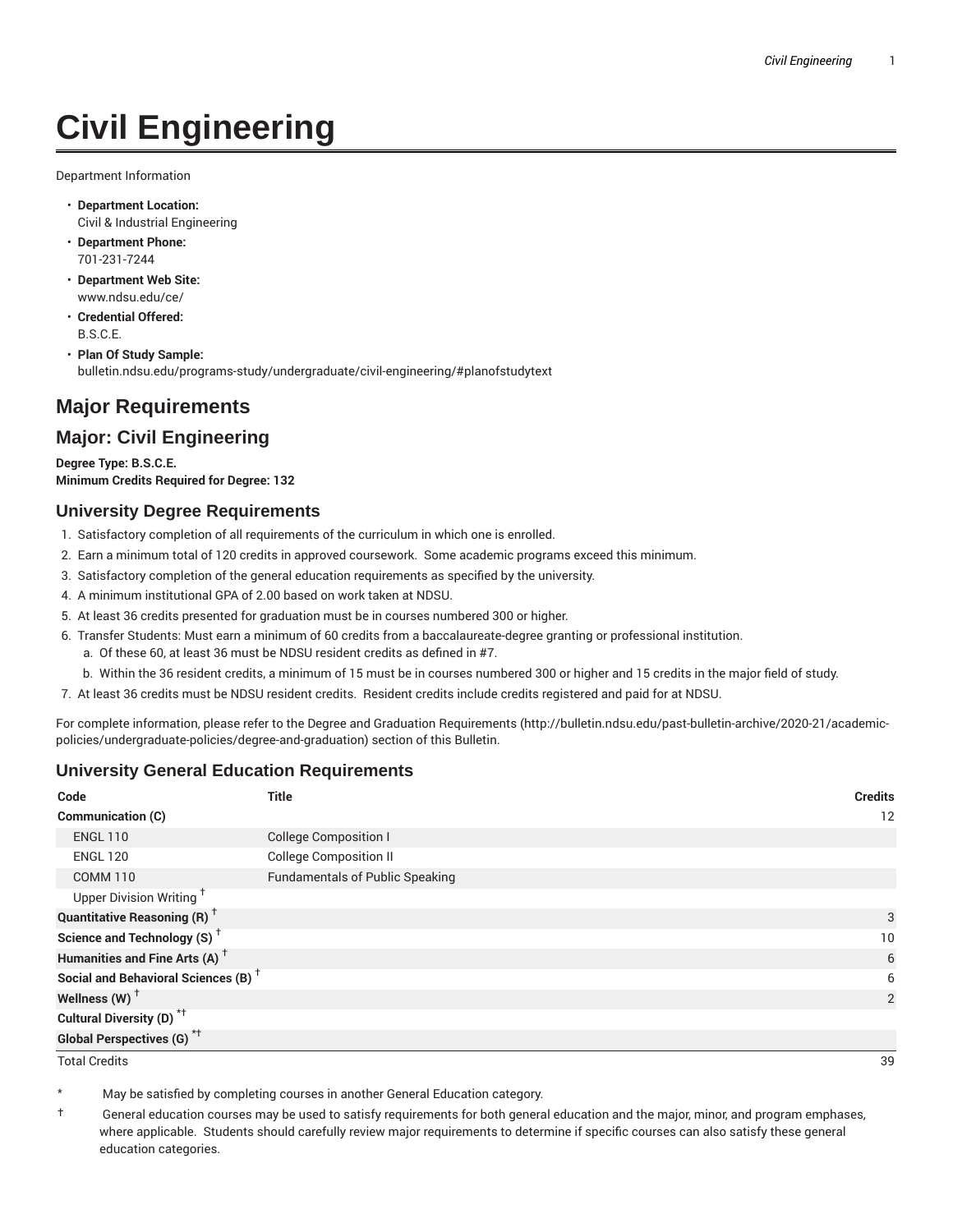# **Civil Engineering**

Department Information

- **Department Location:** Civil & Industrial Engineering
- **Department Phone:** 701-231-7244
- **Department Web Site:** www.ndsu.edu/ce/
- **Credential Offered:** B.S.C.E.
- **Plan Of Study Sample:** bulletin.ndsu.edu/programs-study/undergraduate/civil-engineering/#planofstudytext

## **Major Requirements**

### **Major: Civil Engineering**

**Degree Type: B.S.C.E. Minimum Credits Required for Degree: 132**

#### **University Degree Requirements**

- 1. Satisfactory completion of all requirements of the curriculum in which one is enrolled.
- 2. Earn a minimum total of 120 credits in approved coursework. Some academic programs exceed this minimum.
- 3. Satisfactory completion of the general education requirements as specified by the university.
- 4. A minimum institutional GPA of 2.00 based on work taken at NDSU.
- 5. At least 36 credits presented for graduation must be in courses numbered 300 or higher.
- 6. Transfer Students: Must earn a minimum of 60 credits from a baccalaureate-degree granting or professional institution.
	- a. Of these 60, at least 36 must be NDSU resident credits as defined in #7.
	- b. Within the 36 resident credits, a minimum of 15 must be in courses numbered 300 or higher and 15 credits in the major field of study.
- 7. At least 36 credits must be NDSU resident credits. Resident credits include credits registered and paid for at NDSU.

For complete information, please refer to the Degree and Graduation Requirements (http://bulletin.ndsu.edu/past-bulletin-archive/2020-21/academicpolicies/undergraduate-policies/degree-and-graduation) section of this Bulletin.

#### **University General Education Requirements**

| Code                                            | <b>Title</b>                           | <b>Credits</b> |
|-------------------------------------------------|----------------------------------------|----------------|
| Communication (C)                               |                                        | 12             |
| <b>ENGL 110</b>                                 | <b>College Composition I</b>           |                |
| <b>ENGL 120</b>                                 | <b>College Composition II</b>          |                |
| <b>COMM 110</b>                                 | <b>Fundamentals of Public Speaking</b> |                |
| Upper Division Writing <sup>+</sup>             |                                        |                |
| <b>Quantitative Reasoning (R)</b> <sup>†</sup>  |                                        | 3              |
| Science and Technology (S) <sup>+</sup>         |                                        | 10             |
| Humanities and Fine Arts (A) <sup>+</sup>       |                                        | 6              |
| Social and Behavioral Sciences (B) <sup>+</sup> |                                        | 6              |
| Wellness $(W)$ <sup>+</sup>                     |                                        | 2              |
| Cultural Diversity (D) <sup>*†</sup>            |                                        |                |
| <b>Global Perspectives (G)<sup>*†</sup></b>     |                                        |                |

Total Credits 39

May be satisfied by completing courses in another General Education category.

† General education courses may be used to satisfy requirements for both general education and the major, minor, and program emphases, where applicable. Students should carefully review major requirements to determine if specific courses can also satisfy these general education categories.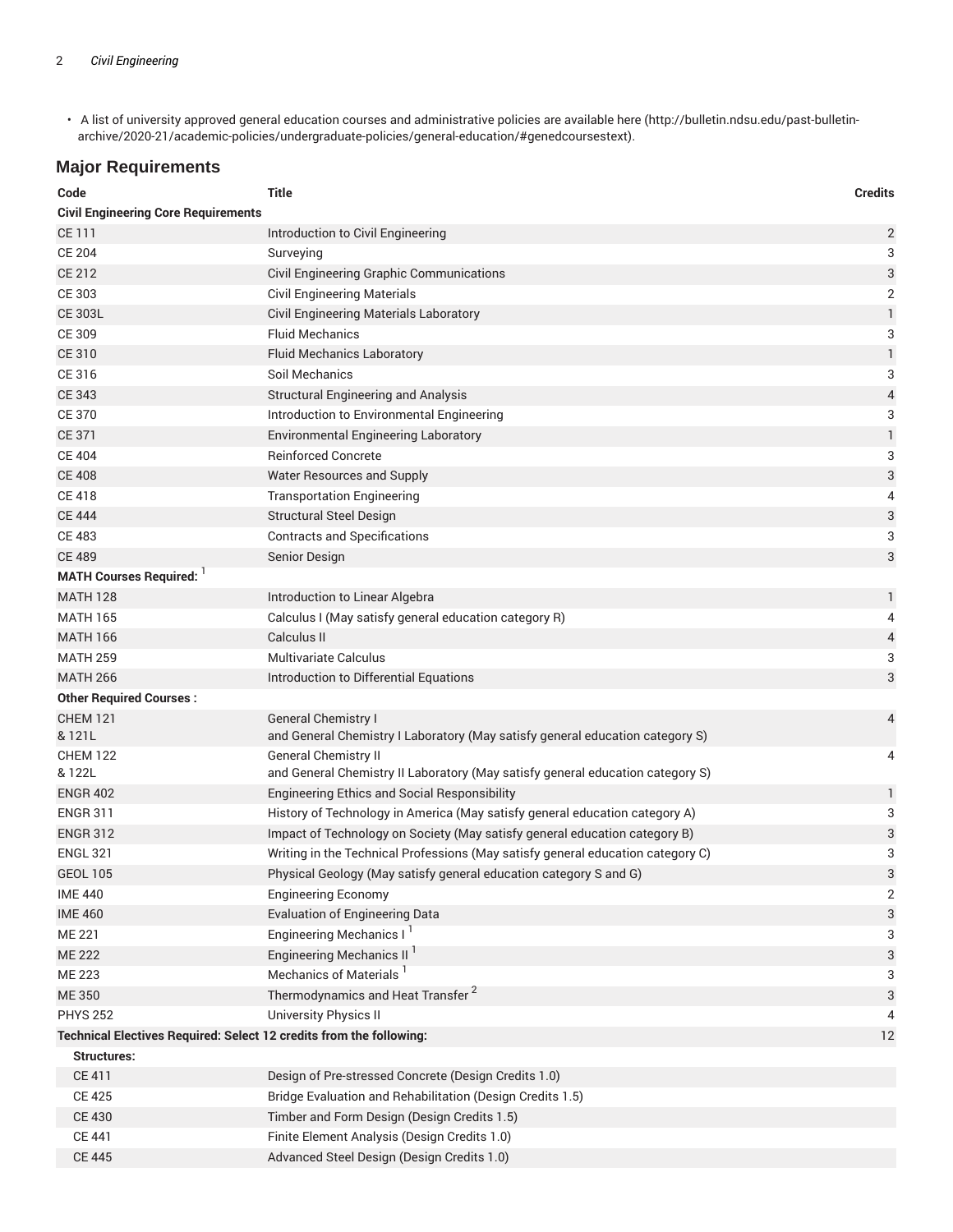• A list of university approved general education courses and administrative policies are available here (http://bulletin.ndsu.edu/past-bulletinarchive/2020-21/academic-policies/undergraduate-policies/general-education/#genedcoursestext).

## **Major Requirements**

| Code                                                                | <b>Title</b>                                                                    | <b>Credits</b>            |  |  |  |
|---------------------------------------------------------------------|---------------------------------------------------------------------------------|---------------------------|--|--|--|
| <b>Civil Engineering Core Requirements</b>                          |                                                                                 |                           |  |  |  |
| CE 111                                                              | Introduction to Civil Engineering                                               | $\overline{\mathbf{c}}$   |  |  |  |
| <b>CE 204</b>                                                       | Surveying                                                                       | 3                         |  |  |  |
| <b>CE 212</b>                                                       | Civil Engineering Graphic Communications                                        | 3                         |  |  |  |
| CE 303                                                              | <b>Civil Engineering Materials</b>                                              | 2                         |  |  |  |
| <b>CE 303L</b>                                                      | Civil Engineering Materials Laboratory                                          | $\mathbf{1}$              |  |  |  |
| CE 309                                                              | <b>Fluid Mechanics</b>                                                          | 3                         |  |  |  |
| <b>CE 310</b>                                                       | <b>Fluid Mechanics Laboratory</b>                                               | 1                         |  |  |  |
| CE 316                                                              | Soil Mechanics                                                                  | 3                         |  |  |  |
| <b>CE 343</b>                                                       | <b>Structural Engineering and Analysis</b>                                      | 4                         |  |  |  |
| <b>CE 370</b>                                                       | Introduction to Environmental Engineering                                       | 3                         |  |  |  |
| <b>CE 371</b>                                                       | <b>Environmental Engineering Laboratory</b>                                     | $\mathbbm{1}$             |  |  |  |
| <b>CE 404</b>                                                       | <b>Reinforced Concrete</b>                                                      | 3                         |  |  |  |
| <b>CE 408</b>                                                       | Water Resources and Supply                                                      | 3                         |  |  |  |
| <b>CE 418</b>                                                       | <b>Transportation Engineering</b>                                               | 4                         |  |  |  |
| <b>CE 444</b>                                                       | <b>Structural Steel Design</b>                                                  | $\ensuremath{\mathsf{3}}$ |  |  |  |
| <b>CE 483</b>                                                       | <b>Contracts and Specifications</b>                                             | 3                         |  |  |  |
| <b>CE 489</b>                                                       | Senior Design                                                                   | 3                         |  |  |  |
| <b>MATH Courses Required:</b>                                       |                                                                                 |                           |  |  |  |
| <b>MATH 128</b>                                                     | Introduction to Linear Algebra                                                  | 1                         |  |  |  |
| <b>MATH 165</b>                                                     | Calculus I (May satisfy general education category R)                           | 4                         |  |  |  |
| <b>MATH 166</b>                                                     | Calculus II                                                                     | 4                         |  |  |  |
| <b>MATH 259</b>                                                     | <b>Multivariate Calculus</b>                                                    | 3                         |  |  |  |
| <b>MATH 266</b>                                                     | Introduction to Differential Equations                                          | 3                         |  |  |  |
| <b>Other Required Courses:</b>                                      |                                                                                 |                           |  |  |  |
| <b>CHEM 121</b>                                                     | <b>General Chemistry I</b>                                                      | 4                         |  |  |  |
| & 121L                                                              | and General Chemistry I Laboratory (May satisfy general education category S)   |                           |  |  |  |
| <b>CHEM 122</b>                                                     | <b>General Chemistry II</b>                                                     | 4                         |  |  |  |
| & 122L                                                              | and General Chemistry II Laboratory (May satisfy general education category S)  |                           |  |  |  |
| <b>ENGR 402</b>                                                     | <b>Engineering Ethics and Social Responsibility</b>                             | 1                         |  |  |  |
| <b>ENGR 311</b>                                                     | History of Technology in America (May satisfy general education category A)     | 3                         |  |  |  |
| <b>ENGR 312</b>                                                     | Impact of Technology on Society (May satisfy general education category B)      | 3                         |  |  |  |
| <b>ENGL 321</b>                                                     | Writing in the Technical Professions (May satisfy general education category C) | 3                         |  |  |  |
| <b>GEOL 105</b>                                                     | Physical Geology (May satisfy general education category S and G)               | 3                         |  |  |  |
| <b>IME 440</b>                                                      | <b>Engineering Economy</b>                                                      | 2                         |  |  |  |
| <b>IME 460</b>                                                      | <b>Evaluation of Engineering Data</b>                                           | 3                         |  |  |  |
| ME 221                                                              | Engineering Mechanics I <sup>1</sup>                                            | 3                         |  |  |  |
| <b>ME 222</b>                                                       | Engineering Mechanics II <sup>1</sup>                                           | 3                         |  |  |  |
| ME 223                                                              | Mechanics of Materials <sup>1</sup>                                             | 3                         |  |  |  |
| <b>ME 350</b>                                                       | Thermodynamics and Heat Transfer <sup>2</sup>                                   | 3                         |  |  |  |
| <b>PHYS 252</b>                                                     | University Physics II                                                           | 4                         |  |  |  |
| Technical Electives Required: Select 12 credits from the following: |                                                                                 | 12                        |  |  |  |
| <b>Structures:</b>                                                  |                                                                                 |                           |  |  |  |
| CE 411                                                              | Design of Pre-stressed Concrete (Design Credits 1.0)                            |                           |  |  |  |
| <b>CE 425</b>                                                       | Bridge Evaluation and Rehabilitation (Design Credits 1.5)                       |                           |  |  |  |
| <b>CE 430</b>                                                       | Timber and Form Design (Design Credits 1.5)                                     |                           |  |  |  |
| <b>CE 441</b>                                                       | Finite Element Analysis (Design Credits 1.0)                                    |                           |  |  |  |
| <b>CE 445</b>                                                       | Advanced Steel Design (Design Credits 1.0)                                      |                           |  |  |  |